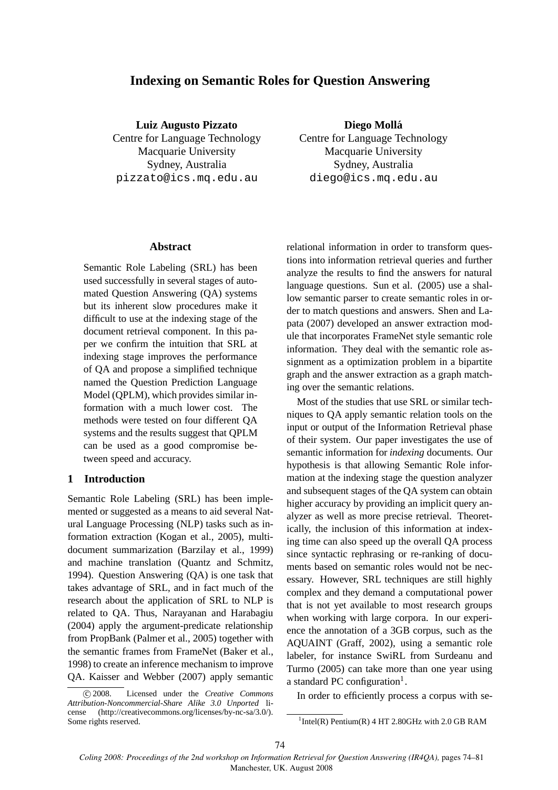# **Indexing on Semantic Roles for Question Answering**

**Luiz Augusto Pizzato** Centre for Language Technology Macquarie University Sydney, Australia

pizzato@ics.mq.edu.au

**Diego Molla´** Centre for Language Technology Macquarie University Sydney, Australia diego@ics.mq.edu.au

#### **Abstract**

Semantic Role Labeling (SRL) has been used successfully in several stages of automated Question Answering (QA) systems but its inherent slow procedures make it difficult to use at the indexing stage of the document retrieval component. In this paper we confirm the intuition that SRL at indexing stage improves the performance of QA and propose a simplified technique named the Question Prediction Language Model (QPLM), which provides similar information with a much lower cost. The methods were tested on four different QA systems and the results suggest that QPLM can be used as a good compromise between speed and accuracy.

# **1 Introduction**

Semantic Role Labeling (SRL) has been implemented or suggested as a means to aid several Natural Language Processing (NLP) tasks such as information extraction (Kogan et al., 2005), multidocument summarization (Barzilay et al., 1999) and machine translation (Quantz and Schmitz, 1994). Question Answering (QA) is one task that takes advantage of SRL, and in fact much of the research about the application of SRL to NLP is related to QA. Thus, Narayanan and Harabagiu (2004) apply the argument-predicate relationship from PropBank (Palmer et al., 2005) together with the semantic frames from FrameNet (Baker et al., 1998) to create an inference mechanism to improve QA. Kaisser and Webber (2007) apply semantic

relational information in order to transform questions into information retrieval queries and further analyze the results to find the answers for natural language questions. Sun et al. (2005) use a shallow semantic parser to create semantic roles in order to match questions and answers. Shen and Lapata (2007) developed an answer extraction module that incorporates FrameNet style semantic role information. They deal with the semantic role assignment as a optimization problem in a bipartite graph and the answer extraction as a graph matching over the semantic relations.

Most of the studies that use SRL or similar techniques to QA apply semantic relation tools on the input or output of the Information Retrieval phase of their system. Our paper investigates the use of semantic information for *indexing* documents. Our hypothesis is that allowing Semantic Role information at the indexing stage the question analyzer and subsequent stages of the QA system can obtain higher accuracy by providing an implicit query analyzer as well as more precise retrieval. Theoretically, the inclusion of this information at indexing time can also speed up the overall QA process since syntactic rephrasing or re-ranking of documents based on semantic roles would not be necessary. However, SRL techniques are still highly complex and they demand a computational power that is not yet available to most research groups when working with large corpora. In our experience the annotation of a 3GB corpus, such as the AQUAINT (Graff, 2002), using a semantic role labeler, for instance SwiRL from Surdeanu and Turmo (2005) can take more than one year using a standard PC configuration<sup>1</sup>.

In order to efficiently process a corpus with se-

c 2008. Licensed under the *Creative Commons Attribution-Noncommercial-Share Alike 3.0 Unported* license (http://creativecommons.org/licenses/by-nc-sa/3.0/). Some rights reserved.

 $1$ Intel(R) Pentium(R) 4 HT 2.80GHz with 2.0 GB RAM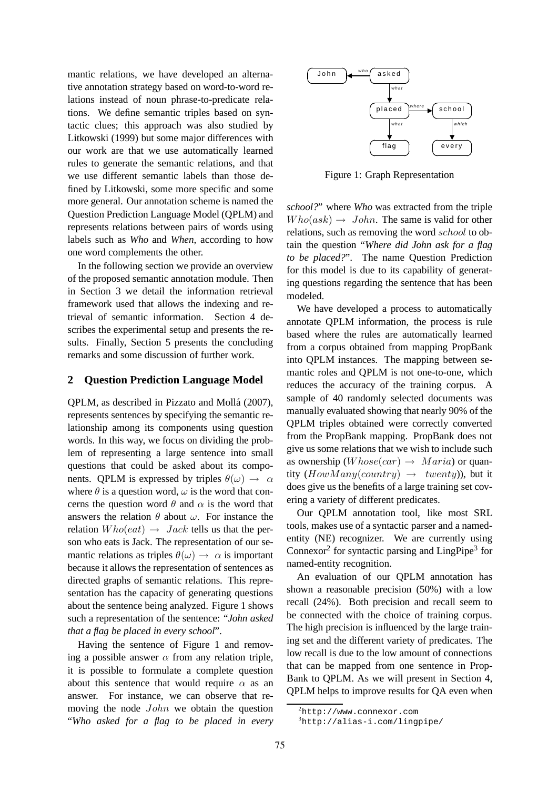mantic relations, we have developed an alternative annotation strategy based on word-to-word relations instead of noun phrase-to-predicate relations. We define semantic triples based on syntactic clues; this approach was also studied by Litkowski (1999) but some major differences with our work are that we use automatically learned rules to generate the semantic relations, and that we use different semantic labels than those defined by Litkowski, some more specific and some more general. Our annotation scheme is named the Question Prediction Language Model (QPLM) and represents relations between pairs of words using labels such as *Who* and *When*, according to how one word complements the other.

In the following section we provide an overview of the proposed semantic annotation module. Then in Section 3 we detail the information retrieval framework used that allows the indexing and retrieval of semantic information. Section 4 describes the experimental setup and presents the results. Finally, Section 5 presents the concluding remarks and some discussion of further work.

### **2 Question Prediction Language Model**

QPLM, as described in Pizzato and Mollá (2007), represents sentences by specifying the semantic relationship among its components using question words. In this way, we focus on dividing the problem of representing a large sentence into small questions that could be asked about its components. QPLM is expressed by triples  $\theta(\omega) \rightarrow \alpha$ where  $\theta$  is a question word,  $\omega$  is the word that concerns the question word  $\theta$  and  $\alpha$  is the word that answers the relation  $\theta$  about  $\omega$ . For instance the relation  $Who(eat) \rightarrow Jack$  tells us that the person who eats is Jack. The representation of our semantic relations as triples  $\theta(\omega) \rightarrow \alpha$  is important because it allows the representation of sentences as directed graphs of semantic relations. This representation has the capacity of generating questions about the sentence being analyzed. Figure 1 shows such a representation of the sentence: "*John asked that a flag be placed in every school*".

Having the sentence of Figure 1 and removing a possible answer  $\alpha$  from any relation triple, it is possible to formulate a complete question about this sentence that would require  $\alpha$  as an answer. For instance, we can observe that removing the node John we obtain the question "*Who asked for a flag to be placed in every*



Figure 1: Graph Representation

*school?*" where *Who* was extracted from the triple  $Who(ask) \rightarrow John$ . The same is valid for other relations, such as removing the word school to obtain the question "*Where did John ask for a flag to be placed?*". The name Question Prediction for this model is due to its capability of generating questions regarding the sentence that has been modeled.

We have developed a process to automatically annotate QPLM information, the process is rule based where the rules are automatically learned from a corpus obtained from mapping PropBank into QPLM instances. The mapping between semantic roles and QPLM is not one-to-one, which reduces the accuracy of the training corpus. A sample of 40 randomly selected documents was manually evaluated showing that nearly 90% of the QPLM triples obtained were correctly converted from the PropBank mapping. PropBank does not give us some relations that we wish to include such as ownership  $(Whose(car) \rightarrow Maria)$  or quantity  $(HowMany (country) \rightarrow twenty)$ , but it does give us the benefits of a large training set covering a variety of different predicates.

Our QPLM annotation tool, like most SRL tools, makes use of a syntactic parser and a namedentity (NE) recognizer. We are currently using Connexor<sup>2</sup> for syntactic parsing and LingPipe<sup>3</sup> for named-entity recognition.

An evaluation of our QPLM annotation has shown a reasonable precision (50%) with a low recall (24%). Both precision and recall seem to be connected with the choice of training corpus. The high precision is influenced by the large training set and the different variety of predicates. The low recall is due to the low amount of connections that can be mapped from one sentence in Prop-Bank to QPLM. As we will present in Section 4, QPLM helps to improve results for QA even when

 $^{2}$ http://www.connexor.com

<sup>3</sup>http://alias-i.com/lingpipe/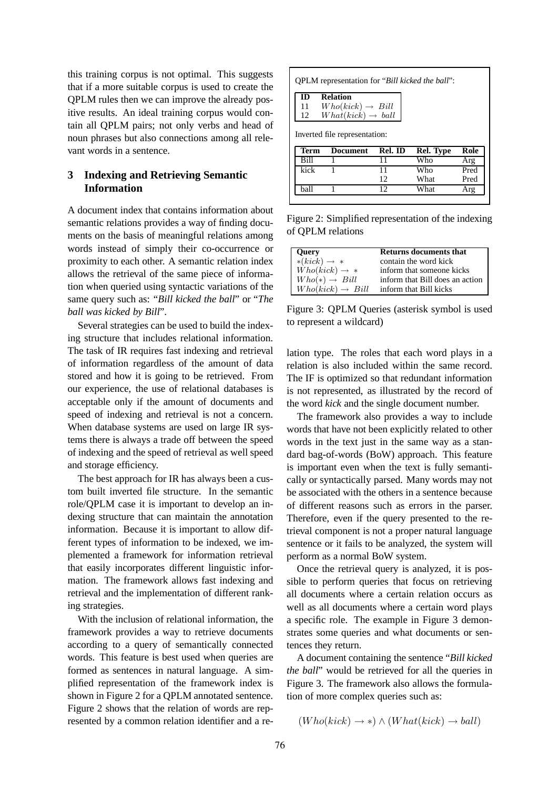this training corpus is not optimal. This suggests that if a more suitable corpus is used to create the QPLM rules then we can improve the already positive results. An ideal training corpus would contain all QPLM pairs; not only verbs and head of noun phrases but also connections among all relevant words in a sentence.

# **3 Indexing and Retrieving Semantic Information**

A document index that contains information about semantic relations provides a way of finding documents on the basis of meaningful relations among words instead of simply their co-occurrence or proximity to each other. A semantic relation index allows the retrieval of the same piece of information when queried using syntactic variations of the same query such as: "*Bill kicked the ball*" or "*The ball was kicked by Bill*".

Several strategies can be used to build the indexing structure that includes relational information. The task of IR requires fast indexing and retrieval of information regardless of the amount of data stored and how it is going to be retrieved. From our experience, the use of relational databases is acceptable only if the amount of documents and speed of indexing and retrieval is not a concern. When database systems are used on large IR systems there is always a trade off between the speed of indexing and the speed of retrieval as well speed and storage efficiency.

The best approach for IR has always been a custom built inverted file structure. In the semantic role/QPLM case it is important to develop an indexing structure that can maintain the annotation information. Because it is important to allow different types of information to be indexed, we implemented a framework for information retrieval that easily incorporates different linguistic information. The framework allows fast indexing and retrieval and the implementation of different ranking strategies.

With the inclusion of relational information, the framework provides a way to retrieve documents according to a query of semantically connected words. This feature is best used when queries are formed as sentences in natural language. A simplified representation of the framework index is shown in Figure 2 for a QPLM annotated sentence. Figure 2 shows that the relation of words are represented by a common relation identifier and a re-

| QPLM representation for "Bill kicked the ball": |                               |         |           |      |  |
|-------------------------------------------------|-------------------------------|---------|-----------|------|--|
| m                                               | <b>Relation</b>               |         |           |      |  |
| 11                                              | $Who(kick) \rightarrow Bill$  |         |           |      |  |
| 12                                              | $What(kick) \rightarrow ball$ |         |           |      |  |
| Inverted file representation:                   |                               |         |           |      |  |
|                                                 |                               |         |           |      |  |
| Term                                            | <b>Document</b>               | Rel. ID | Rel. Type | Role |  |
| Rill                                            |                               | 11      | Who       | Arg  |  |
| kick                                            |                               | 11      | Who       | Pred |  |
|                                                 |                               | 12      | What      | Pred |  |

Figure 2: Simplified representation of the indexing of QPLM relations

| <b>Query</b>                 | Returns documents that          |
|------------------------------|---------------------------------|
| $*(kick) \rightarrow *$      | contain the word kick           |
| $Who(kick) \rightarrow *$    | inform that someone kicks       |
| $Who(*) \rightarrow Bill$    | inform that Bill does an action |
| $Who(kick) \rightarrow Bill$ | inform that Bill kicks          |

Figure 3: QPLM Queries (asterisk symbol is used to represent a wildcard)

lation type. The roles that each word plays in a relation is also included within the same record. The IF is optimized so that redundant information is not represented, as illustrated by the record of the word *kick* and the single document number.

The framework also provides a way to include words that have not been explicitly related to other words in the text just in the same way as a standard bag-of-words (BoW) approach. This feature is important even when the text is fully semantically or syntactically parsed. Many words may not be associated with the others in a sentence because of different reasons such as errors in the parser. Therefore, even if the query presented to the retrieval component is not a proper natural language sentence or it fails to be analyzed, the system will perform as a normal BoW system.

Once the retrieval query is analyzed, it is possible to perform queries that focus on retrieving all documents where a certain relation occurs as well as all documents where a certain word plays a specific role. The example in Figure 3 demonstrates some queries and what documents or sentences they return.

A document containing the sentence "*Bill kicked the ball*" would be retrieved for all the queries in Figure 3. The framework also allows the formulation of more complex queries such as:

$$
(Who(kick) \rightarrow *) \land (What(kick) \rightarrow ball)
$$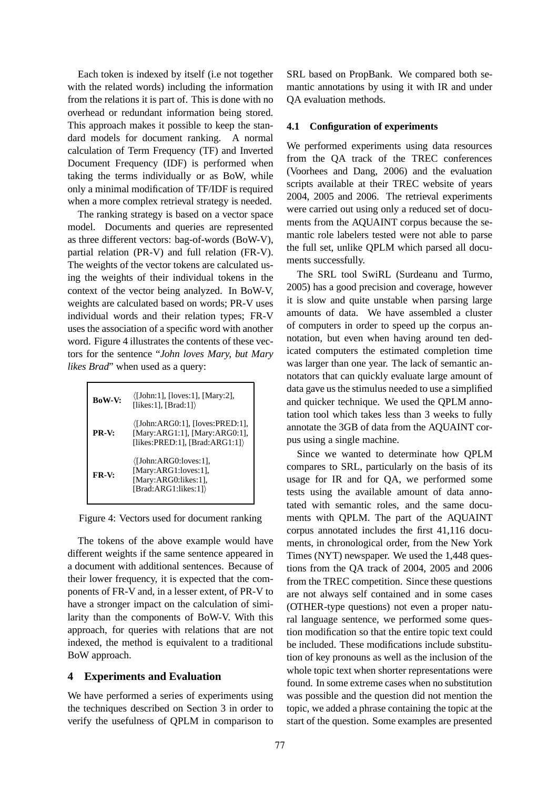Each token is indexed by itself (i.e not together with the related words) including the information from the relations it is part of. This is done with no overhead or redundant information being stored. This approach makes it possible to keep the standard models for document ranking. A normal calculation of Term Frequency (TF) and Inverted Document Frequency (IDF) is performed when taking the terms individually or as BoW, while only a minimal modification of TF/IDF is required when a more complex retrieval strategy is needed.

The ranking strategy is based on a vector space model. Documents and queries are represented as three different vectors: bag-of-words (BoW-V), partial relation (PR-V) and full relation (FR-V). The weights of the vector tokens are calculated using the weights of their individual tokens in the context of the vector being analyzed. In BoW-V, weights are calculated based on words; PR-V uses individual words and their relation types; FR-V uses the association of a specific word with another word. Figure 4 illustrates the contents of these vectors for the sentence "*John loves Mary, but Mary likes Brad*" when used as a query:

| <b>BoW-V:</b> | $\langle$ [John:1], [loves:1], [Mary:2],<br>[likes:1], [Brad:1] $\rangle$                                   |
|---------------|-------------------------------------------------------------------------------------------------------------|
| PR-V:         | $\langle$ [John:ARG0:1], [loves:PRED:1],<br>[Mary:ARG1:1], [Mary:ARG0:1],<br>[likes:PRED:1], [Brad:ARG1:1]) |
| $FR-V:$       | $\langle$ [John:ARG0:loves:1],<br>[Mary:ARG1:loves:1],<br>[Mary:ARG0:likes:1],<br>[Brad:ARG1:likes:1])      |

Figure 4: Vectors used for document ranking

The tokens of the above example would have different weights if the same sentence appeared in a document with additional sentences. Because of their lower frequency, it is expected that the components of FR-V and, in a lesser extent, of PR-V to have a stronger impact on the calculation of similarity than the components of BoW-V. With this approach, for queries with relations that are not indexed, the method is equivalent to a traditional BoW approach.

## **4 Experiments and Evaluation**

We have performed a series of experiments using the techniques described on Section 3 in order to verify the usefulness of QPLM in comparison to SRL based on PropBank. We compared both semantic annotations by using it with IR and under QA evaluation methods.

#### **4.1 Configuration of experiments**

We performed experiments using data resources from the QA track of the TREC conferences (Voorhees and Dang, 2006) and the evaluation scripts available at their TREC website of years 2004, 2005 and 2006. The retrieval experiments were carried out using only a reduced set of documents from the AQUAINT corpus because the semantic role labelers tested were not able to parse the full set, unlike QPLM which parsed all documents successfully.

The SRL tool SwiRL (Surdeanu and Turmo, 2005) has a good precision and coverage, however it is slow and quite unstable when parsing large amounts of data. We have assembled a cluster of computers in order to speed up the corpus annotation, but even when having around ten dedicated computers the estimated completion time was larger than one year. The lack of semantic annotators that can quickly evaluate large amount of data gave us the stimulus needed to use a simplified and quicker technique. We used the QPLM annotation tool which takes less than 3 weeks to fully annotate the 3GB of data from the AQUAINT corpus using a single machine.

Since we wanted to determinate how QPLM compares to SRL, particularly on the basis of its usage for IR and for QA, we performed some tests using the available amount of data annotated with semantic roles, and the same documents with QPLM. The part of the AQUAINT corpus annotated includes the first 41,116 documents, in chronological order, from the New York Times (NYT) newspaper. We used the 1,448 questions from the QA track of 2004, 2005 and 2006 from the TREC competition. Since these questions are not always self contained and in some cases (OTHER-type questions) not even a proper natural language sentence, we performed some question modification so that the entire topic text could be included. These modifications include substitution of key pronouns as well as the inclusion of the whole topic text when shorter representations were found. In some extreme cases when no substitution was possible and the question did not mention the topic, we added a phrase containing the topic at the start of the question. Some examples are presented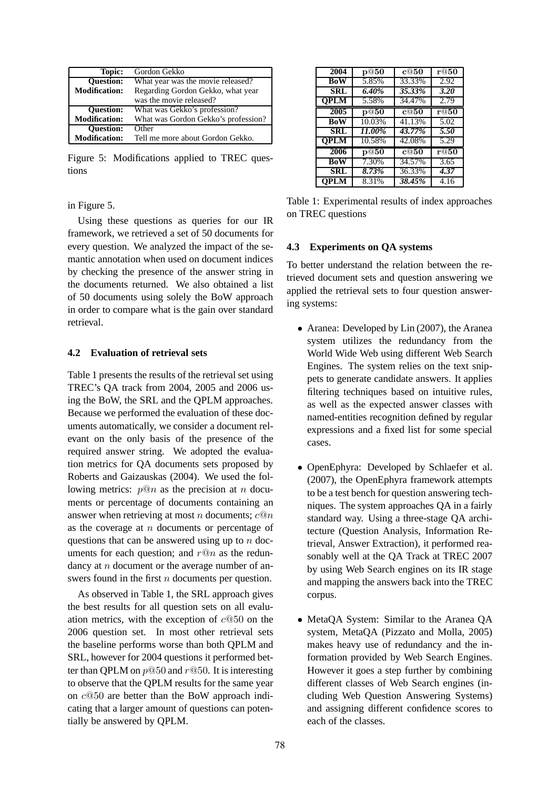| Topic:               | Gordon Gekko                        |  |  |
|----------------------|-------------------------------------|--|--|
| <b>Ouestion:</b>     | What year was the movie released?   |  |  |
| <b>Modification:</b> | Regarding Gordon Gekko, what year   |  |  |
|                      | was the movie released?             |  |  |
| <b>Ouestion:</b>     | What was Gekko's profession?        |  |  |
| <b>Modification:</b> | What was Gordon Gekko's profession? |  |  |
| <b>Ouestion:</b>     | Other                               |  |  |
| <b>Modification:</b> | Tell me more about Gordon Gekko.    |  |  |

Figure 5: Modifications applied to TREC questions

in Figure 5.

Using these questions as queries for our IR framework, we retrieved a set of 50 documents for every question. We analyzed the impact of the semantic annotation when used on document indices by checking the presence of the answer string in the documents returned. We also obtained a list of 50 documents using solely the BoW approach in order to compare what is the gain over standard retrieval.

# **4.2 Evaluation of retrieval sets**

Table 1 presents the results of the retrieval set using TREC's QA track from 2004, 2005 and 2006 using the BoW, the SRL and the QPLM approaches. Because we performed the evaluation of these documents automatically, we consider a document relevant on the only basis of the presence of the required answer string. We adopted the evaluation metrics for QA documents sets proposed by Roberts and Gaizauskas (2004). We used the following metrics:  $p@n$  as the precision at n documents or percentage of documents containing an answer when retrieving at most *n* documents;  $c@n$ as the coverage at  $n$  documents or percentage of questions that can be answered using up to  $n$  documents for each question; and  $r@n$  as the redundancy at  $n$  document or the average number of answers found in the first *n* documents per question.

As observed in Table 1, the SRL approach gives the best results for all question sets on all evaluation metrics, with the exception of  $c@50$  on the 2006 question set. In most other retrieval sets the baseline performs worse than both QPLM and SRL, however for 2004 questions it performed better than QPLM on  $p@50$  and  $r@50$ . It is interesting to observe that the QPLM results for the same year on c@50 are better than the BoW approach indicating that a larger amount of questions can potentially be answered by QPLM.

| 2004        | $\mathbf{p@50}$   | c@50              | r@50 |
|-------------|-------------------|-------------------|------|
| BoW         | 5.85%             | 33.33%            | 2.92 |
| SRL         | 6.40%             | 35.33%            | 3.20 |
| <b>OPLM</b> | 5.58%             | 34.47%            | 2.79 |
| 2005        | p@50              | c@50              | r@50 |
| BoW         | 10.03%            | 41.13%            | 5.02 |
| SRL         | 11.00%            | 43.77%            | 5.50 |
| <b>OPLM</b> | 10.58%            | 42.08%            | 5.29 |
| 2006        | $\overline{p@50}$ | $\overline{c@50}$ | r@50 |
| BoW         | 7.30%             | 34.57%            | 3.65 |
| SRL         | 8.73%             | 36.33%            | 4.37 |
| <b>OPLM</b> | 8.31%             | 38.45%            | 4.16 |

Table 1: Experimental results of index approaches on TREC questions

# **4.3 Experiments on QA systems**

To better understand the relation between the retrieved document sets and question answering we applied the retrieval sets to four question answering systems:

- Aranea: Developed by Lin (2007), the Aranea system utilizes the redundancy from the World Wide Web using different Web Search Engines. The system relies on the text snippets to generate candidate answers. It applies filtering techniques based on intuitive rules, as well as the expected answer classes with named-entities recognition defined by regular expressions and a fixed list for some special cases.
- OpenEphyra: Developed by Schlaefer et al. (2007), the OpenEphyra framework attempts to be a test bench for question answering techniques. The system approaches QA in a fairly standard way. Using a three-stage QA architecture (Question Analysis, Information Retrieval, Answer Extraction), it performed reasonably well at the QA Track at TREC 2007 by using Web Search engines on its IR stage and mapping the answers back into the TREC corpus.
- MetaQA System: Similar to the Aranea QA system, MetaQA (Pizzato and Molla, 2005) makes heavy use of redundancy and the information provided by Web Search Engines. However it goes a step further by combining different classes of Web Search engines (including Web Question Answering Systems) and assigning different confidence scores to each of the classes.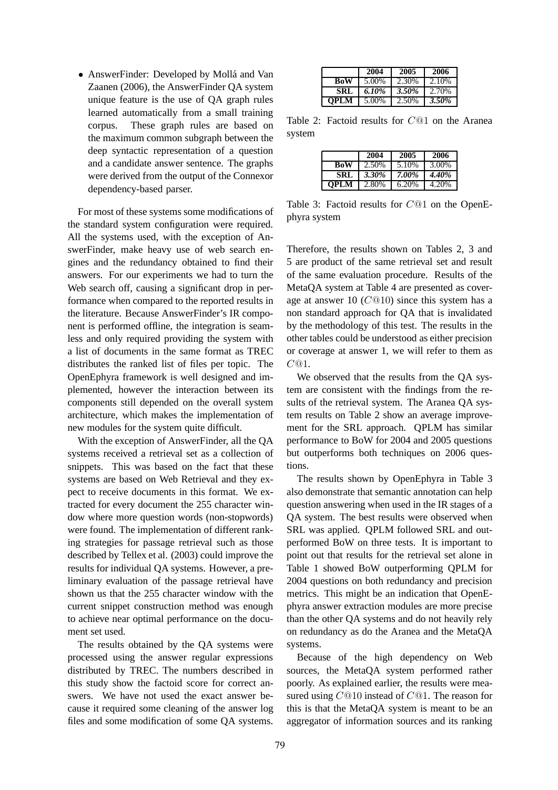• AnswerFinder: Developed by Mollá and Van Zaanen (2006), the AnswerFinder QA system unique feature is the use of QA graph rules learned automatically from a small training corpus. These graph rules are based on the maximum common subgraph between the deep syntactic representation of a question and a candidate answer sentence. The graphs were derived from the output of the Connexor dependency-based parser.

For most of these systems some modifications of the standard system configuration were required. All the systems used, with the exception of AnswerFinder, make heavy use of web search engines and the redundancy obtained to find their answers. For our experiments we had to turn the Web search off, causing a significant drop in performance when compared to the reported results in the literature. Because AnswerFinder's IR component is performed offline, the integration is seamless and only required providing the system with a list of documents in the same format as TREC distributes the ranked list of files per topic. The OpenEphyra framework is well designed and implemented, however the interaction between its components still depended on the overall system architecture, which makes the implementation of new modules for the system quite difficult.

With the exception of AnswerFinder, all the QA systems received a retrieval set as a collection of snippets. This was based on the fact that these systems are based on Web Retrieval and they expect to receive documents in this format. We extracted for every document the 255 character window where more question words (non-stopwords) were found. The implementation of different ranking strategies for passage retrieval such as those described by Tellex et al. (2003) could improve the results for individual QA systems. However, a preliminary evaluation of the passage retrieval have shown us that the 255 character window with the current snippet construction method was enough to achieve near optimal performance on the document set used.

The results obtained by the QA systems were processed using the answer regular expressions distributed by TREC. The numbers described in this study show the factoid score for correct answers. We have not used the exact answer because it required some cleaning of the answer log files and some modification of some QA systems.

|             | 2004  | 2005  | 2006     |
|-------------|-------|-------|----------|
| BoW         | 5.00% | 2.30% | 2.10%    |
| <b>SRL</b>  | 6.10% | 3.50% | 2.70%    |
| <b>OPLM</b> | 5.00% | 2.50% | $3.50\%$ |

Table 2: Factoid results for C@1 on the Aranea system

|             | 2004  | 2005  | 2006  |
|-------------|-------|-------|-------|
| BoW         | 2.50% | 5.10% | 3.00% |
| SRL         | 3.30% | 7.00% | 4.40% |
| <b>OPLM</b> | 2.80% | 6.20% | 4.20% |

Table 3: Factoid results for C@1 on the OpenEphyra system

Therefore, the results shown on Tables 2, 3 and 5 are product of the same retrieval set and result of the same evaluation procedure. Results of the MetaQA system at Table 4 are presented as coverage at answer 10  $(C@10)$  since this system has a non standard approach for QA that is invalidated by the methodology of this test. The results in the other tables could be understood as either precision or coverage at answer 1, we will refer to them as  $C@1.$ 

We observed that the results from the QA system are consistent with the findings from the results of the retrieval system. The Aranea QA system results on Table 2 show an average improvement for the SRL approach. QPLM has similar performance to BoW for 2004 and 2005 questions but outperforms both techniques on 2006 questions.

The results shown by OpenEphyra in Table 3 also demonstrate that semantic annotation can help question answering when used in the IR stages of a QA system. The best results were observed when SRL was applied. QPLM followed SRL and outperformed BoW on three tests. It is important to point out that results for the retrieval set alone in Table 1 showed BoW outperforming QPLM for 2004 questions on both redundancy and precision metrics. This might be an indication that OpenEphyra answer extraction modules are more precise than the other QA systems and do not heavily rely on redundancy as do the Aranea and the MetaQA systems.

Because of the high dependency on Web sources, the MetaQA system performed rather poorly. As explained earlier, the results were measured using C@10 instead of C@1. The reason for this is that the MetaQA system is meant to be an aggregator of information sources and its ranking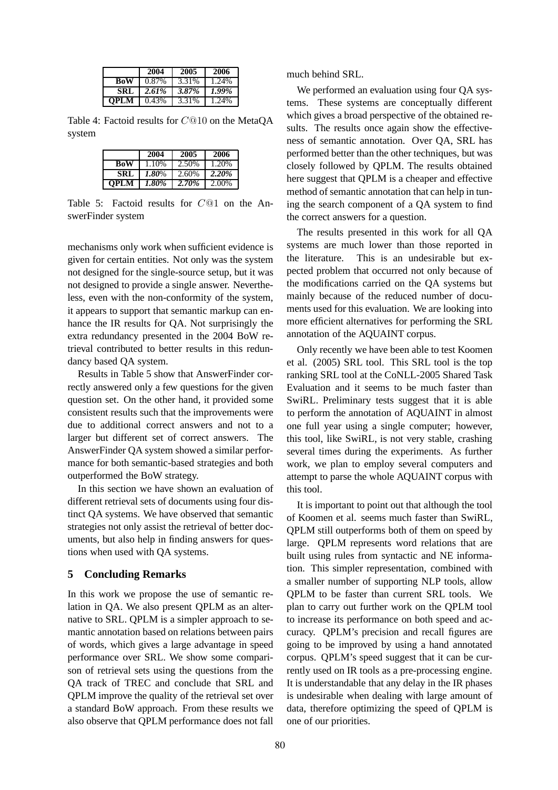|             | 2004  | 2005  | 2006  |
|-------------|-------|-------|-------|
| <b>BoW</b>  | 0.87% | 3.31% | 1.24% |
| SRL         | 2.61% | 3.87% | 1.99% |
| <b>OPLM</b> | 0.43% | 3.31% | 1.24% |

Table 4: Factoid results for C@10 on the MetaQA system

|             | 2004  | 2005  | 2006  |
|-------------|-------|-------|-------|
| BoW         | 1.10% | 2.50% | 1.20% |
| SRL         | 1.80% | 2.60% | 2.20% |
| <b>OPLM</b> | 1.80% | 2.70% | 2.00% |

Table 5: Factoid results for C@1 on the AnswerFinder system

mechanisms only work when sufficient evidence is given for certain entities. Not only was the system not designed for the single-source setup, but it was not designed to provide a single answer. Nevertheless, even with the non-conformity of the system, it appears to support that semantic markup can enhance the IR results for QA. Not surprisingly the extra redundancy presented in the 2004 BoW retrieval contributed to better results in this redundancy based QA system.

Results in Table 5 show that AnswerFinder correctly answered only a few questions for the given question set. On the other hand, it provided some consistent results such that the improvements were due to additional correct answers and not to a larger but different set of correct answers. The AnswerFinder QA system showed a similar performance for both semantic-based strategies and both outperformed the BoW strategy.

In this section we have shown an evaluation of different retrieval sets of documents using four distinct QA systems. We have observed that semantic strategies not only assist the retrieval of better documents, but also help in finding answers for questions when used with QA systems.

## **5 Concluding Remarks**

In this work we propose the use of semantic relation in QA. We also present QPLM as an alternative to SRL. QPLM is a simpler approach to semantic annotation based on relations between pairs of words, which gives a large advantage in speed performance over SRL. We show some comparison of retrieval sets using the questions from the QA track of TREC and conclude that SRL and QPLM improve the quality of the retrieval set over a standard BoW approach. From these results we also observe that QPLM performance does not fall much behind SRL.

We performed an evaluation using four QA systems. These systems are conceptually different which gives a broad perspective of the obtained results. The results once again show the effectiveness of semantic annotation. Over QA, SRL has performed better than the other techniques, but was closely followed by QPLM. The results obtained here suggest that QPLM is a cheaper and effective method of semantic annotation that can help in tuning the search component of a QA system to find the correct answers for a question.

The results presented in this work for all QA systems are much lower than those reported in the literature. This is an undesirable but expected problem that occurred not only because of the modifications carried on the QA systems but mainly because of the reduced number of documents used for this evaluation. We are looking into more efficient alternatives for performing the SRL annotation of the AQUAINT corpus.

Only recently we have been able to test Koomen et al. (2005) SRL tool. This SRL tool is the top ranking SRL tool at the CoNLL-2005 Shared Task Evaluation and it seems to be much faster than SwiRL. Preliminary tests suggest that it is able to perform the annotation of AQUAINT in almost one full year using a single computer; however, this tool, like SwiRL, is not very stable, crashing several times during the experiments. As further work, we plan to employ several computers and attempt to parse the whole AQUAINT corpus with this tool.

It is important to point out that although the tool of Koomen et al. seems much faster than SwiRL, QPLM still outperforms both of them on speed by large. QPLM represents word relations that are built using rules from syntactic and NE information. This simpler representation, combined with a smaller number of supporting NLP tools, allow QPLM to be faster than current SRL tools. We plan to carry out further work on the QPLM tool to increase its performance on both speed and accuracy. QPLM's precision and recall figures are going to be improved by using a hand annotated corpus. QPLM's speed suggest that it can be currently used on IR tools as a pre-processing engine. It is understandable that any delay in the IR phases is undesirable when dealing with large amount of data, therefore optimizing the speed of QPLM is one of our priorities.